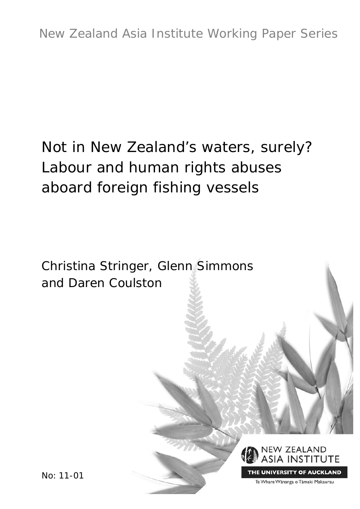# Not in New Zealand's waters, surely? Labour and human rights abuses aboard foreign fishing vessels

Christina Stringer, Glenn Simmons and Daren Coulston



THE UNIVERSITY OF AUCKLAND

Te Whare Wānanga o Tāmaki Makaurau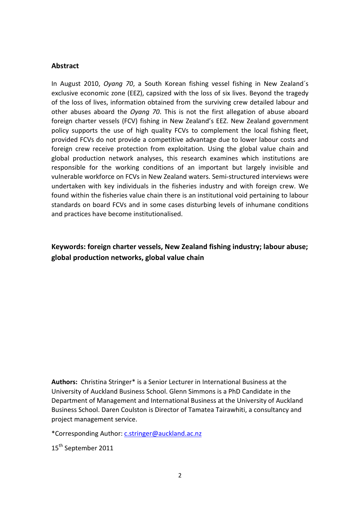#### **Abstract**

In August 2010, *Oyang 70*, a South Korean fishing vessel fishing in New Zealand´s exclusive economic zone (EEZ), capsized with the loss of six lives. Beyond the tragedy of the loss of lives, information obtained from the surviving crew detailed labour and other abuses aboard the *Oyang 70*. This is not the first allegation of abuse aboard foreign charter vessels (FCV) fishing in New Zealand's EEZ. New Zealand government policy supports the use of high quality FCVs to complement the local fishing fleet, provided FCVs do not provide a competitive advantage due to lower labour costs and foreign crew receive protection from exploitation. Using the global value chain and global production network analyses, this research examines which institutions are responsible for the working conditions of an important but largely invisible and vulnerable workforce on FCVs in New Zealand waters. Semi-structured interviews were undertaken with key individuals in the fisheries industry and with foreign crew. We found within the fisheries value chain there is an institutional void pertaining to labour standards on board FCVs and in some cases disturbing levels of inhumane conditions and practices have become institutionalised.

# **Keywords: foreign charter vessels, New Zealand fishing industry; labour abuse; global production networks, global value chain**

**Authors:** Christina Stringer\* is a Senior Lecturer in International Business at the University of Auckland Business School. Glenn Simmons is a PhD Candidate in the Department of Management and International Business at the University of Auckland Business School. Daren Coulston is Director of Tamatea Tairawhiti, a consultancy and project management service.

\*Corresponding Author: [c.stringer@auckland.ac.nz](mailto:c.stringer@auckland.ac.nz)

15<sup>th</sup> September 2011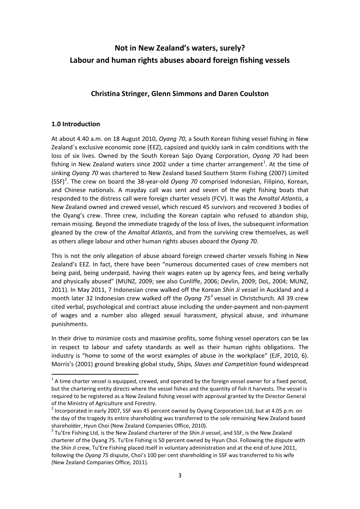# **Not in New Zealand's waters, surely? Labour and human rights abuses aboard foreign fishing vessels**

## **Christina Stringer, Glenn Simmons and Daren Coulston**

#### **1.0 Introduction**

At about 4.40 a.m. on 18 August 2010, *Oyang 70*, a South Korean fishing vessel fishing in New Zealand´s exclusive economic zone (EEZ), capsized and quickly sank in calm conditions with the loss of six lives. Owned by the South Korean Sajo Oyang Corporation, *Oyang 70* had been fishing in New Zealand waters since 2002 under a time charter arrangement<sup>[1](#page-2-0)</sup>. At the time of sinking *Oyang 70* was chartered to New Zealand based Southern Storm Fishing (2007) Limited (SSF)<sup>[2](#page-2-1)</sup>. The crew on board the 38-year-old *Oyang 70* comprised Indonesian, Filipino, Korean, and Chinese nationals. A mayday call was sent and seven of the eight fishing boats that responded to the distress call were foreign charter vessels (FCV). It was the *Amaltal Atlantis*, a New Zealand owned and crewed vessel, which rescued 45 survivors and recovered 3 bodies of the Oyang's crew. Three crew, including the Korean captain who refused to abandon ship, remain missing. Beyond the immediate tragedy of the loss of lives, the subsequent information gleaned by the crew of the *Amaltal Atlantis*, and from the surviving crew themselves, as well as others allege labour and other human rights abuses aboard the *Oyang 70*.

This is not the only allegation of abuse aboard foreign crewed charter vessels fishing in New Zealand's EEZ. In fact, there have been "numerous documented cases of crew members not being paid, being underpaid, having their wages eaten up by agency fees, and being verbally and physically abused" (MUNZ, 2009; see also Cunliffe, 2006; Devlin, 2009; DoL, 2004; MUNZ, 2011). In May 2011, 7 Indonesian crew walked off the Korean *Shin Ji* vessel in Auckland and a month later 32 Indonesian crew walked off the *Oyang 75 [3](#page-2-2)* vessel in Christchurch. All 39 crew cited verbal, psychological and contract abuse including the under-payment and non-payment of wages and a number also alleged sexual harassment, physical abuse, and inhumane punishments.

In their drive to minimize costs and maximise profits, some fishing vessel operators can be lax in respect to labour and safety standards as well as their human rights obligations. The industry is "home to some of the worst examples of abuse in the workplace" (EJF, 2010, 6). Morris's (2001) ground breaking global study, *Ships, Slaves and Competition* found widespread

<span id="page-2-0"></span> $1$  A time charter vessel is equipped, crewed, and operated by the foreign vessel owner for a fixed period, but the chartering entity directs where the vessel fishes and the quantity of fish it harvests. The vessel is required to be registered as a New Zealand fishing vessel with approval granted by the Director General

<span id="page-2-1"></span>of the Ministry of Agriculture and Forestry.<br><sup>2</sup> Incorporated in early 2007, SSF was 45 percent owned by Oyang Corporation Ltd, but at 4.05 p.m. on the day of the tragedy its entire shareholding was transferred to the sole remaining New Zealand based

<span id="page-2-2"></span>shareholder, Hyun Choi (New Zealand Companies Office, 2010).<br><sup>3</sup> Tu'Ere Fishing Ltd, is the New Zealand charterer of the *Shin Ji* vessel, and SSF, is the New Zealand charterer of the Oyang 75. Tu'Ere Fishing is 50 percent owned by Hyun Choi. Following the dispute with the *Shin Ji* crew, Tu'Ere Fishing placed itself in voluntary administration and at the end of June 2011, following the *Oyang 75* dispute, Choi's 100 per cent shareholding in SSF was transferred to his wife (New Zealand Companies Office, 2011).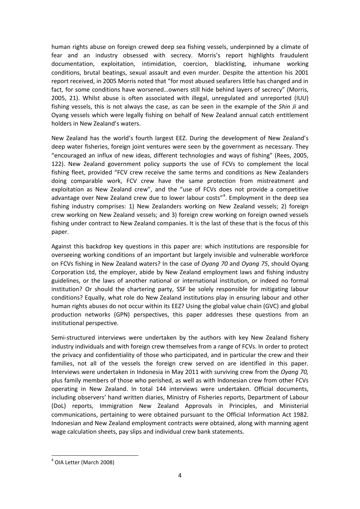human rights abuse on foreign crewed deep sea fishing vessels, underpinned by a climate of fear and an industry obsessed with secrecy. Morris's report highlights fraudulent documentation, exploitation, intimidation, coercion, blacklisting, inhumane working conditions, brutal beatings, sexual assault and even murder. Despite the attention his 2001 report received, in 2005 Morris noted that "for most abused seafarers little has changed and in fact, for some conditions have worsened…owners still hide behind layers of secrecy" (Morris, 2005, 21). Whilst abuse is often associated with illegal, unregulated and unreported (IUU) fishing vessels, this is not always the case, as can be seen in the example of the *Shin Ji* and Oyang vessels which were legally fishing on behalf of New Zealand annual catch entitlement holders in New Zealand's waters.

New Zealand has the world's fourth largest EEZ. During the development of New Zealand's deep water fisheries, foreign joint ventures were seen by the government as necessary. They "encouraged an influx of new ideas, different technologies and ways of fishing" (Rees, 2005, 122). New Zealand government policy supports the use of FCVs to complement the local fishing fleet, provided "FCV crew receive the same terms and conditions as New Zealanders doing comparable work, FCV crew have the same protection from mistreatment and exploitation as New Zealand crew", and the "use of FCVs does not provide a competitive advantage over New Zealand crew due to lower labour costs"<sup>[4](#page-3-0)</sup>. Employment in the deep sea fishing industry comprises: 1) New Zealanders working on New Zealand vessels; 2) foreign crew working on New Zealand vessels; and 3) foreign crew working on foreign owned vessels fishing under contract to New Zealand companies. It is the last of these that is the focus of this paper.

Against this backdrop key questions in this paper are: which institutions are responsible for overseeing working conditions of an important but largely invisible and vulnerable workforce on FCVs fishing in New Zealand waters? In the case of *Oyang 70* and *Oyang 75*, should Oyang Corporation Ltd, the employer, abide by New Zealand employment laws and fishing industry guidelines, or the laws of another national or international institution, or indeed no formal institution? Or should the chartering party, SSF be solely responsible for mitigating labour conditions? Equally, what role do New Zealand institutions play in ensuring labour and other human rights abuses do not occur within its EEZ? Using the global value chain (GVC) and global production networks (GPN) perspectives, this paper addresses these questions from an institutional perspective.

Semi-structured interviews were undertaken by the authors with key New Zealand fishery industry individuals and with foreign crew themselves from a range of FCVs. In order to protect the privacy and confidentiality of those who participated, and in particular the crew and their families, not all of the vessels the foreign crew served on are identified in this paper. Interviews were undertaken in Indonesia in May 2011 with surviving crew from the *Oyang 70,* plus family members of those who perished, as well as with Indonesian crew from other FCVs operating in New Zealand. In total 144 interviews were undertaken. Official documents, including observers' hand written diaries, Ministry of Fisheries reports, Department of Labour (DoL) reports, Immigration New Zealand Approvals in Principles, and Ministerial communications, pertaining to were obtained pursuant to the Official Information Act 1982. Indonesian and New Zealand employment contracts were obtained, along with manning agent wage calculation sheets, pay slips and individual crew bank statements.

<span id="page-3-0"></span> $<sup>4</sup>$  OIA Letter (March 2008)</sup>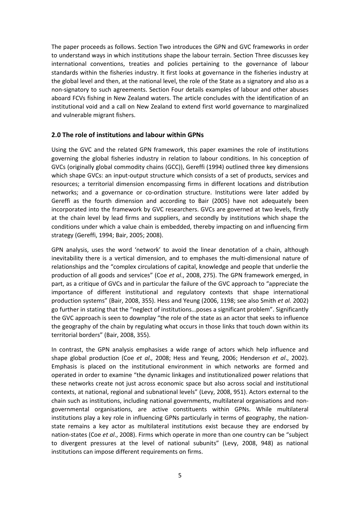The paper proceeds as follows. Section Two introduces the GPN and GVC frameworks in order to understand ways in which institutions shape the labour terrain. Section Three discusses key international conventions, treaties and policies pertaining to the governance of labour standards within the fisheries industry. It first looks at governance in the fisheries industry at the global level and then, at the national level, the role of the State as a signatory and also as a non-signatory to such agreements. Section Four details examples of labour and other abuses aboard FCVs fishing in New Zealand waters. The article concludes with the identification of an institutional void and a call on New Zealand to extend first world governance to marginalized and vulnerable migrant fishers.

#### **2.0 The role of institutions and labour within GPNs**

Using the GVC and the related GPN framework, this paper examines the role of institutions governing the global fisheries industry in relation to labour conditions. In his conception of GVCs (originally global commodity chains (GCC)), Gereffi (1994) outlined three key dimensions which shape GVCs: an input-output structure which consists of a set of products, services and resources; a territorial dimension encompassing firms in different locations and distribution networks; and a governance or co-ordination structure. Institutions were later added by Gereffi as the fourth dimension and according to Bair (2005) have not adequately been incorporated into the framework by GVC researchers. GVCs are governed at two levels, firstly at the chain level by lead firms and suppliers, and secondly by institutions which shape the conditions under which a value chain is embedded, thereby impacting on and influencing firm strategy (Gereffi, 1994; Bair, 2005; 2008).

GPN analysis, uses the word 'network' to avoid the linear denotation of a chain, although inevitability there is a vertical dimension, and to emphases the multi-dimensional nature of relationships and the "complex circulations of capital, knowledge and people that underlie the production of all goods and services" (Coe *et al*., 2008, 275). The GPN framework emerged, in part, as a critique of GVCs and in particular the failure of the GVC approach to "appreciate the importance of different institutional and regulatory contexts that shape international production systems" (Bair, 2008, 355). Hess and Yeung (2006, 1198; see also Smith *et al.* 2002) go further in stating that the "neglect of institutions…poses a significant problem". Significantly the GVC approach is seen to downplay "the role of the state as an actor that seeks to influence the geography of the chain by regulating what occurs in those links that touch down within its territorial borders" (Bair, 2008, 355).

In contrast, the GPN analysis emphasises a wide range of actors which help influence and shape global production (Coe *et al.,* 2008; Hess and Yeung, 2006; Henderson *et al*., 2002). Emphasis is placed on the institutional environment in which networks are formed and operated in order to examine "the dynamic linkages and institutionalized power relations that these networks create not just across economic space but also across social and institutional contexts, at national, regional and subnational levels" (Levy, 2008, 951). Actors external to the chain such as institutions, including national governments, multilateral organisations and nongovernmental organisations, are active constituents within GPNs. While multilateral institutions play a key role in influencing GPNs particularly in terms of geography, the nationstate remains a key actor as multilateral institutions exist because they are endorsed by nation-states (Coe *et al*., 2008). Firms which operate in more than one country can be "subject to divergent pressures at the level of national subunits" (Levy, 2008, 948) as national institutions can impose different requirements on firms.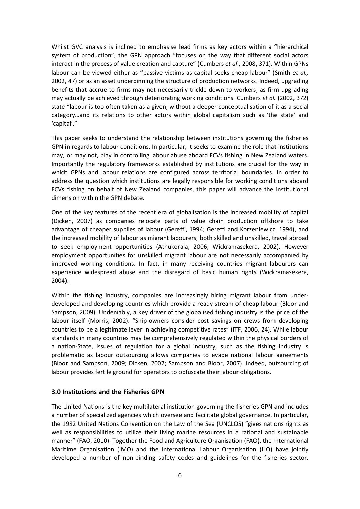Whilst GVC analysis is inclined to emphasise lead firms as key actors within a "hierarchical system of production", the GPN approach "focuses on the way that different social actors interact in the process of value creation and capture" (Cumbers *et al.,* 2008, 371). Within GPNs labour can be viewed either as "passive victims as capital seeks cheap labour" (Smith *et al.,* 2002, 47) or as an asset underpinning the structure of production networks. Indeed, upgrading benefits that accrue to firms may not necessarily trickle down to workers, as firm upgrading may actually be achieved through deteriorating working conditions. Cumbers *et al.* (2002, 372) state "labour is too often taken as a given, without a deeper conceptualisation of it as a social category…and its relations to other actors within global capitalism such as 'the state' and 'capital'."

This paper seeks to understand the relationship between institutions governing the fisheries GPN in regards to labour conditions. In particular, it seeks to examine the role that institutions may, or may not, play in controlling labour abuse aboard FCVs fishing in New Zealand waters. Importantly the regulatory frameworks established by institutions are crucial for the way in which GPNs and labour relations are configured across territorial boundaries. In order to address the question which institutions are legally responsible for working conditions aboard FCVs fishing on behalf of New Zealand companies, this paper will advance the institutional dimension within the GPN debate.

One of the key features of the recent era of globalisation is the increased mobility of capital (Dicken, 2007) as companies relocate parts of value chain production offshore to take advantage of cheaper supplies of labour (Gereffi, 1994; Gereffi and Korzeniewicz, 1994), and the increased mobility of labour as migrant labourers, both skilled and unskilled, travel abroad to seek employment opportunities (Athukorala, 2006; Wickramasekera, 2002). However employment opportunities for unskilled migrant labour are not necessarily accompanied by improved working conditions. In fact, in many receiving countries migrant labourers can experience widespread abuse and the disregard of basic human rights (Wickramasekera, 2004).

Within the fishing industry, companies are increasingly hiring migrant labour from underdeveloped and developing countries which provide a ready stream of cheap labour (Bloor and Sampson, 2009). Undeniably, a key driver of the globalised fishing industry is the price of the labour itself (Morris, 2002). "Ship-owners consider cost savings on crews from developing countries to be a legitimate lever in achieving competitive rates" (ITF, 2006, 24). While labour standards in many countries may be comprehensively regulated within the physical borders of a nation-State, issues of regulation for a global industry, such as the fishing industry is problematic as labour outsourcing allows companies to evade national labour agreements (Bloor and Sampson, 2009; Dicken, 2007; Sampson and Bloor, 2007). Indeed, outsourcing of labour provides fertile ground for operators to obfuscate their labour obligations.

#### **3.0 Institutions and the Fisheries GPN**

The United Nations is the key multilateral institution governing the fisheries GPN and includes a number of specialized agencies which oversee and facilitate global governance. In particular, the 1982 United Nations Convention on the Law of the Sea (UNCLOS) "gives nations rights as well as responsibilities to utilize their living marine resources in a rational and sustainable manner" (FAO, 2010). Together the Food and Agriculture Organisation (FAO), the International Maritime Organisation (IMO) and the International Labour Organisation (ILO) have jointly developed a number of non-binding safety codes and guidelines for the fisheries sector.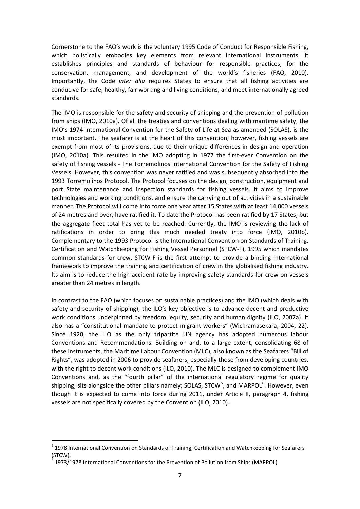Cornerstone to the FAO's work is the voluntary 1995 Code of Conduct for Responsible Fishing, which holistically embodies key elements from relevant international instruments. It establishes principles and standards of behaviour for responsible practices, for the conservation, management, and development of the world's fisheries (FAO, 2010). Importantly, the Code *inter alia* requires States to ensure that all fishing activities are conducive for safe, healthy, fair working and living conditions, and meet internationally agreed standards.

The IMO is responsible for the safety and security of shipping and the prevention of pollution from ships (IMO, 2010a). Of all the treaties and conventions dealing with maritime safety, the IMO's 1974 International Convention for the Safety of Life at Sea as amended (SOLAS), is the most important. The seafarer is at the heart of this convention; however, fishing vessels are exempt from most of its provisions, due to their unique differences in design and operation (IMO, 2010a). This resulted in the IMO adopting in 1977 the first-ever Convention on the safety of fishing vessels - The Torremolinos International Convention for the Safety of Fishing Vessels. However, this convention was never ratified and was subsequently absorbed into the 1993 Torremolinos Protocol. The Protocol focuses on the design, construction, equipment and port State maintenance and inspection standards for fishing vessels. It aims to improve technologies and working conditions, and ensure the carrying out of activities in a sustainable manner. The Protocol will come into force one year after 15 States with at least 14,000 vessels of 24 metres and over, have ratified it. To date the Protocol has been ratified by 17 States, but the aggregate fleet total has yet to be reached. Currently, the IMO is reviewing the lack of ratifications in order to bring this much needed treaty into force (IMO, 2010b). Complementary to the 1993 Protocol is the International Convention on Standards of Training, Certification and Watchkeeping for Fishing Vessel Personnel (STCW-F), 1995 which mandates common standards for crew. STCW-F is the first attempt to provide a binding international framework to improve the training and certification of crew in the globalised fishing industry. Its aim is to reduce the high accident rate by improving safety standards for crew on vessels greater than 24 metres in length.

In contrast to the FAO (which focuses on sustainable practices) and the IMO (which deals with safety and security of shipping), the ILO's key objective is to advance decent and productive work conditions underpinned by freedom, equity, security and human dignity (ILO, 2007a). It also has a "constitutional mandate to protect migrant workers" (Wickramasekara, 2004, 22). Since 1920, the ILO as the only tripartite UN agency has adopted numerous labour Conventions and Recommendations. Building on and, to a large extent, consolidating 68 of these instruments, the Maritime Labour Convention (MLC), also known as the Seafarers "Bill of Rights", was adopted in 2006 to provide seafarers, especially those from developing countries, with the right to decent work conditions (ILO, 2010). The MLC is designed to complement IMO Conventions and, as the "fourth pillar" of the international regulatory regime for quality shipping, sits alongside the other pillars namely; SOLAS, STCW<sup>[5](#page-6-0)</sup>, and MARPOL<sup>[6](#page-6-1)</sup>. However, even though it is expected to come into force during 2011, under Article II, paragraph 4, fishing vessels are not specifically covered by the Convention (ILO, 2010).

<span id="page-6-0"></span><sup>&</sup>lt;sup>5</sup> 1978 International Convention on Standards of Training, Certification and Watchkeeping for Seafarers (STCW).

<span id="page-6-1"></span><sup>6</sup> 1973/1978 International Conventions for the Prevention of Pollution from Ships (MARPOL).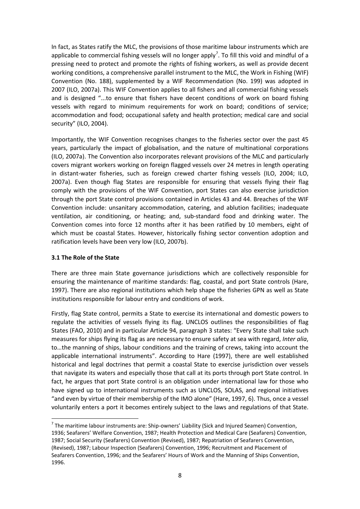In fact, as States ratify the MLC, the provisions of those maritime labour instruments which are applicable to commercial fishing vessels will no longer apply<sup>[7](#page-7-0)</sup>. To fill this void and mindful of a pressing need to protect and promote the rights of fishing workers, as well as provide decent working conditions, a comprehensive parallel instrument to the MLC, the Work in Fishing (WIF) Convention (No. 188), supplemented by a WIF Recommendation (No. 199) was adopted in 2007 (ILO, 2007a). This WIF Convention applies to all fishers and all commercial fishing vessels and is designed "...to ensure that fishers have decent conditions of work on board fishing vessels with regard to minimum requirements for work on board; conditions of service; accommodation and food; occupational safety and health protection; medical care and social security" (ILO, 2004).

Importantly, the WIF Convention recognises changes to the fisheries sector over the past 45 years, particularly the impact of globalisation, and the nature of multinational corporations (ILO, 2007a). The Convention also incorporates relevant provisions of the MLC and particularly covers migrant workers working on foreign flagged vessels over 24 metres in length operating in distant-water fisheries, such as foreign crewed charter fishing vessels (ILO, 2004; ILO, 2007a). Even though flag States are responsible for ensuring that vessels flying their flag comply with the provisions of the WIF Convention, port States can also exercise jurisdiction through the port State control provisions contained in Articles 43 and 44. Breaches of the WIF Convention include: unsanitary accommodation, catering, and ablution facilities; inadequate ventilation, air conditioning, or heating; and, sub-standard food and drinking water. The Convention comes into force 12 months after it has been ratified by 10 members, eight of which must be coastal States. However, historically fishing sector convention adoption and ratification levels have been very low (ILO, 2007b).

#### **3.1 The Role of the State**

There are three main State governance jurisdictions which are collectively responsible for ensuring the maintenance of maritime standards: flag, coastal, and port State controls (Hare, 1997). There are also regional institutions which help shape the fisheries GPN as well as State institutions responsible for labour entry and conditions of work.

Firstly, flag State control, permits a State to exercise its international and domestic powers to regulate the activities of vessels flying its flag. UNCLOS outlines the responsibilities of flag States (FAO, 2010) and in particular Article 94, paragraph 3 states: "Every State shall take such measures for ships flying its flag as are necessary to ensure safety at sea with regard, *Inter alia*, to…the manning of ships, labour conditions and the training of crews, taking into account the applicable international instruments". According to Hare (1997), there are well established historical and legal doctrines that permit a coastal State to exercise jurisdiction over vessels that navigate its waters and especially those that call at its ports through port State control. In fact, he argues that port State control is an obligation under international law for those who have signed up to international instruments such as UNCLOS, SOLAS, and regional initiatives "and even by virtue of their membership of the IMO alone" (Hare, 1997, 6). Thus, once a vessel voluntarily enters a port it becomes entirely subject to the laws and regulations of that State.

<span id="page-7-0"></span> $<sup>7</sup>$  The maritime labour instruments are: Ship-owners' Liability (Sick and Injured Seamen) Convention,</sup> 1936; Seafarers' Welfare Convention, 1987; Health Protection and Medical Care (Seafarers) Convention, 1987; Social Security (Seafarers) Convention (Revised), 1987; Repatriation of Seafarers Convention, (Revised), 1987; Labour Inspection (Seafarers) Convention, 1996; Recruitment and Placement of Seafarers Convention, 1996; and the Seafarers' Hours of Work and the Manning of Ships Convention, 1996.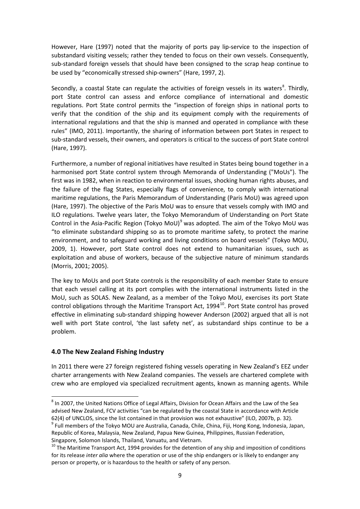However, Hare (1997) noted that the majority of ports pay lip-service to the inspection of substandard visiting vessels; rather they tended to focus on their own vessels. Consequently, sub-standard foreign vessels that should have been consigned to the scrap heap continue to be used by "economically stressed ship-owners" (Hare, 1997, 2).

Secondly, a coastal State can regulate the activities of foreign vessels in its waters<sup>[8](#page-8-0)</sup>. Thirdly, port State control can assess and enforce compliance of international and domestic regulations. Port State control permits the "inspection of foreign ships in national ports to verify that the condition of the ship and its equipment comply with the requirements of international regulations and that the ship is manned and operated in compliance with these rules" (IMO, 2011). Importantly, the sharing of information between port States in respect to sub-standard vessels, their owners, and operators is critical to the success of port State control (Hare, 1997).

Furthermore, a number of regional initiatives have resulted in States being bound together in a harmonised port State control system through Memoranda of Understanding ("MoUs"). The first was in 1982, when in reaction to environmental issues, shocking human rights abuses, and the failure of the flag States, especially flags of convenience, to comply with international maritime regulations, the Paris Memorandum of Understanding (Paris MoU) was agreed upon (Hare, 1997). The objective of the Paris MoU was to ensure that vessels comply with IMO and ILO regulations. Twelve years later, the Tokyo Memorandum of Understanding on Port State Control in the Asia-Pacific Region (Tokyo MoU)<sup>[9](#page-8-1)</sup> was adopted. The aim of the Tokyo MoU was "to eliminate substandard shipping so as to promote maritime safety, to protect the marine environment, and to safeguard working and living conditions on board vessels" (Tokyo MOU, 2009, 1). However, port State control does not extend to humanitarian issues, such as exploitation and abuse of workers, because of the subjective nature of minimum standards (Morris, 2001; 2005).

The key to MoUs and port State controls is the responsibility of each member State to ensure that each vessel calling at its port complies with the international instruments listed in the MoU, such as SOLAS. New Zealand, as a member of the Tokyo MoU, exercises its port State control obligations through the Maritime Transport Act, 1994<sup>[10](#page-8-2)</sup>. Port State control has proved effective in eliminating sub-standard shipping however Anderson (2002) argued that all is not well with port State control, 'the last safety net', as substandard ships continue to be a problem.

#### **4.0 The New Zealand Fishing Industry**

In 2011 there were 27 foreign registered fishing vessels operating in New Zealand's EEZ under charter arrangements with New Zealand companies. The vessels are chartered complete with crew who are employed via specialized recruitment agents, known as manning agents. While

<span id="page-8-0"></span><sup>&</sup>lt;sup>8</sup> In 2007, the United Nations Office of Legal Affairs, Division for Ocean Affairs and the Law of the Sea advised New Zealand, FCV activities "can be regulated by the coastal State in accordance with Article 62(4) of UNCLOS, since the list contained in that provision was not exhaustive" (ILO, 2007b, p. 32). 9  $\degree$  Full members of the Tokyo MOU are Australia, Canada, Chile, China, Fiji, Hong Kong, Indonesia, Japan,

<span id="page-8-1"></span>Republic of Korea, Malaysia, New Zealand, Papua New Guinea, Philippines, Russian Federation, Singapore, Solomon Islands, Thailand, Vanuatu, and Vietnam.<br><sup>10</sup> The Maritime Transport Act, 1994 provides for the detention of any ship and imposition of conditions

<span id="page-8-2"></span>for its release *inter alia* where the operation or use of the ship endangers or is likely to endanger any person or property, or is hazardous to the health or safety of any person.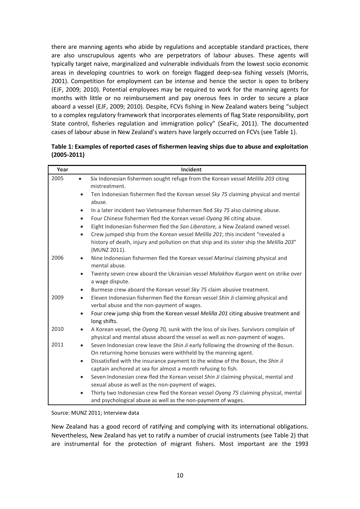there are manning agents who abide by regulations and acceptable standard practices, there are also unscrupulous agents who are perpetrators of labour abuses. These agents will typically target naive, marginalized and vulnerable individuals from the lowest socio economic areas in developing countries to work on foreign flagged deep-sea fishing vessels (Morris, 2001). Competition for employment can be intense and hence the sector is open to bribery (EJF, 2009; 2010). Potential employees may be required to work for the manning agents for months with little or no reimbursement and pay onerous fees in order to secure a place aboard a vessel (EJF, 2009; 2010). Despite, FCVs fishing in New Zealand waters being "subject to a complex regulatory framework that incorporates elements of flag State responsibility, port State control, fisheries regulation and immigration policy" (SeaFic, 2011). The documented cases of labour abuse in New Zealand's waters have largely occurred on FCVs (see Table 1).

| Table 1: Examples of reported cases of fishermen leaving ships due to abuse and exploitation |
|----------------------------------------------------------------------------------------------|
| $(2005 - 2011)$                                                                              |

| Year | Incident                                                                                                                                                                   |
|------|----------------------------------------------------------------------------------------------------------------------------------------------------------------------------|
| 2005 | Six Indonesian fishermen sought refuge from the Korean vessel Melilla 203 citing<br>$\bullet$<br>mistreatment.                                                             |
|      | Ten Indonesian fishermen fled the Korean vessel Sky 75 claiming physical and mental<br>$\bullet$<br>abuse.                                                                 |
|      | In a later incident two Vietnamese fishermen fled Sky 75 also claiming abuse.<br>$\bullet$                                                                                 |
|      | Four Chinese fishermen fled the Korean vessel Oyang 96 citing abuse.<br>$\bullet$                                                                                          |
|      | Eight Indonesian fishermen fled the San Liberatore, a New Zealand owned vessel.<br>$\bullet$                                                                               |
|      | Crew jumped ship from the Korean vessel Melilla 201; this incident "revealed a<br>$\bullet$                                                                                |
|      | history of death, injury and pollution on that ship and its sister ship the Melilla 203"<br>(MUNZ 2011).                                                                   |
| 2006 | Nine Indonesian fishermen fled the Korean vessel Marinui claiming physical and<br>$\bullet$<br>mental abuse.                                                               |
|      | Twenty seven crew aboard the Ukrainian vessel Malakhov Kurgan went on strike over<br>$\bullet$<br>a wage dispute.                                                          |
|      | Burmese crew aboard the Korean vessel Sky 75 claim abusive treatment.<br>$\bullet$                                                                                         |
| 2009 | Eleven Indonesian fishermen fled the Korean vessel Shin Ji claiming physical and<br>$\bullet$<br>verbal abuse and the non-payment of wages.                                |
|      | Four crew jump ship from the Korean vessel Melilla 201 citing abusive treatment and<br>$\bullet$<br>long shifts.                                                           |
| 2010 | A Korean vessel, the Oyang 70, sunk with the loss of six lives. Survivors complain of<br>٠<br>physical and mental abuse aboard the vessel as well as non-payment of wages. |
| 2011 | Seven Indonesian crew leave the Shin Ji early following the drowning of the Bosun.<br>$\bullet$<br>On returning home bonuses were withheld by the manning agent.           |
|      | Dissatisfied with the insurance payment to the widow of the Bosun, the Shin Ji<br>$\bullet$                                                                                |
|      | captain anchored at sea for almost a month refusing to fish.                                                                                                               |
|      | Seven Indonesian crew fled the Korean vessel Shin Ji claiming physical, mental and<br>$\bullet$                                                                            |
|      | sexual abuse as well as the non-payment of wages.                                                                                                                          |
|      | Thirty two Indonesian crew fled the Korean vessel Oyang 75 claiming physical, mental<br>$\bullet$                                                                          |
|      | and psychological abuse as well as the non-payment of wages.                                                                                                               |

Source: MUNZ 2011; Interview data

New Zealand has a good record of ratifying and complying with its international obligations. Nevertheless, New Zealand has yet to ratify a number of crucial instruments (see Table 2) that are instrumental for the protection of migrant fishers. Most important are the 1993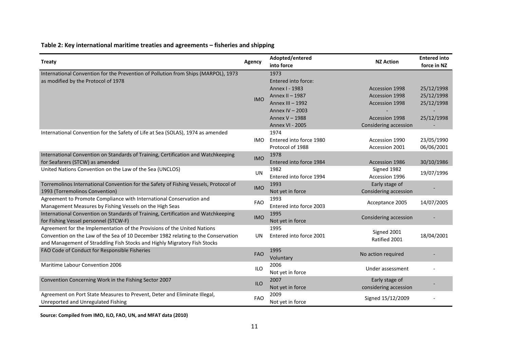## **Table 2: Key international maritime treaties and agreements – fisheries and shipping**

| <b>Treaty</b>                                                                                                             | Agency     | Adopted/entered<br>into force | <b>NZ Action</b>      | <b>Entered into</b><br>force in NZ |
|---------------------------------------------------------------------------------------------------------------------------|------------|-------------------------------|-----------------------|------------------------------------|
| International Convention for the Prevention of Pollution from Ships (MARPOL), 1973<br>as modified by the Protocol of 1978 |            | 1973<br>Entered into force:   |                       |                                    |
|                                                                                                                           |            | Annex I - 1983                | <b>Accession 1998</b> | 25/12/1998                         |
|                                                                                                                           | <b>IMO</b> | Annex II - 1987               | Accession 1998        | 25/12/1998                         |
|                                                                                                                           |            | Annex III - 1992              | Accession 1998        | 25/12/1998                         |
|                                                                                                                           |            | Annex IV - 2003               |                       |                                    |
|                                                                                                                           |            | Annex V - 1988                | <b>Accession 1998</b> | 25/12/1998                         |
|                                                                                                                           |            | <b>Annex VI - 2005</b>        | Considering accession |                                    |
| International Convention for the Safety of Life at Sea (SOLAS), 1974 as amended                                           |            | 1974                          |                       |                                    |
|                                                                                                                           | IMO.       | Entered into force 1980       | Accession 1990        | 23/05/1990                         |
|                                                                                                                           |            | Protocol of 1988              | Accession 2001        | 06/06/2001                         |
| International Convention on Standards of Training, Certification and Watchkeeping                                         | <b>IMO</b> | 1978                          |                       |                                    |
| for Seafarers (STCW) as amended                                                                                           |            | Entered into force 1984       | Accession 1986        | 30/10/1986                         |
| United Nations Convention on the Law of the Sea (UNCLOS)                                                                  | <b>UN</b>  | 1982                          | Signed 1982           | 19/07/1996                         |
|                                                                                                                           |            | Entered into force 1994       | Accession 1996        |                                    |
| Torremolinos International Convention for the Safety of Fishing Vessels, Protocol of                                      | <b>IMO</b> | 1993                          | Early stage of        |                                    |
| 1993 (Torremolinos Convention)                                                                                            |            | Not yet in force              | Considering accession |                                    |
| Agreement to Promote Compliance with International Conservation and                                                       | <b>FAO</b> | 1993                          | Acceptance 2005       | 14/07/2005                         |
| Management Measures by Fishing Vessels on the High Seas                                                                   |            | Entered into force 2003       |                       |                                    |
| International Convention on Standards of Training, Certification and Watchkeeping                                         | <b>IMO</b> | 1995                          | Considering accession |                                    |
| for Fishing Vessel personnel (STCW-F)                                                                                     |            | Not yet in force              |                       |                                    |
| Agreement for the Implementation of the Provisions of the United Nations                                                  |            | 1995                          | Signed 2001           |                                    |
| Convention on the Law of the Sea of 10 December 1982 relating to the Conservation                                         | UN         | Entered into force 2001       | Ratified 2001         | 18/04/2001                         |
| and Management of Straddling Fish Stocks and Highly Migratory Fish Stocks                                                 |            |                               |                       |                                    |
| FAO Code of Conduct for Responsible Fisheries                                                                             | <b>FAO</b> | 1995<br>Voluntary             | No action required    |                                    |
| <b>Maritime Labour Convention 2006</b>                                                                                    | <b>ILO</b> | 2006                          | Under assessment      |                                    |
|                                                                                                                           |            | Not yet in force              |                       |                                    |
| Convention Concerning Work in the Fishing Sector 2007                                                                     | <b>ILO</b> | 2007                          | Early stage of        |                                    |
|                                                                                                                           |            | Not yet in force              | considering accession |                                    |
| Agreement on Port State Measures to Prevent, Deter and Eliminate Illegal,<br>Unreported and Unregulated Fishing           | <b>FAO</b> | 2009<br>Not yet in force      | Signed 15/12/2009     |                                    |

**Source: Compiled from IMO, ILO, FAO, UN, and MFAT data (2010)**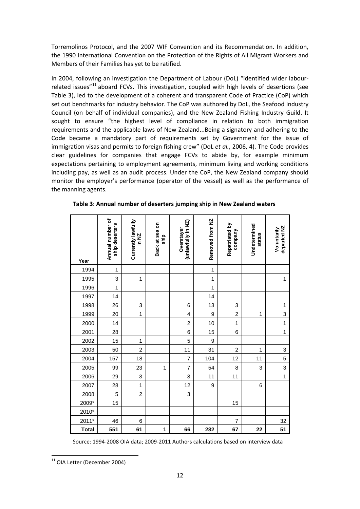Torremolinos Protocol, and the 2007 WIF Convention and its Recommendation. In addition, the 1990 International Convention on the Protection of the Rights of All Migrant Workers and Members of their Families has yet to be ratified.

In 2004, following an investigation the Department of Labour (DoL) "identified wider labour-related issues"<sup>[11](#page-11-0)</sup> aboard FCVs. This investigation, coupled with high levels of desertions (see Table 3), led to the development of a coherent and transparent Code of Practice (CoP) which set out benchmarks for industry behavior. The CoP was authored by DoL, the Seafood Industry Council (on behalf of individual companies), and the New Zealand Fishing Industry Guild. It sought to ensure "the highest level of compliance in relation to both immigration requirements and the applicable laws of New Zealand...Being a signatory and adhering to the Code became a mandatory part of requirements set by Government for the issue of immigration visas and permits to foreign fishing crew" (DoL *et al.*, 2006, 4). The Code provides clear guidelines for companies that engage FCVs to abide by, for example minimum expectations pertaining to employment agreements, minimum living and working conditions including pay, as well as an audit process. Under the CoP, the New Zealand company should monitor the employer's performance (operator of the vessel) as well as the performance of the manning agents.

| Year         | Annual number of<br>ship deserters | Currently lawfully<br>in NZ | Back at sea on<br>ship | (unlawfully in NZ)<br>Overstayer | Removed from NZ | Repatriated by<br>company | Undetermined<br>status | departed NZ<br>Voluntarily |
|--------------|------------------------------------|-----------------------------|------------------------|----------------------------------|-----------------|---------------------------|------------------------|----------------------------|
| 1994         | $\mathbf 1$                        |                             |                        |                                  | $\mathbf{1}$    |                           |                        |                            |
| 1995         | 3                                  | 1                           |                        |                                  | 1               |                           |                        | 1                          |
| 1996         | 1                                  |                             |                        |                                  | $\mathbf{1}$    |                           |                        |                            |
| 1997         | 14                                 |                             |                        |                                  | 14              |                           |                        |                            |
| 1998         | 26                                 | 3                           |                        | 6                                | 13              | 3                         |                        | 1                          |
| 1999         | 20                                 | 1                           |                        | 4                                | 9               | $\overline{c}$            | 1                      | 3                          |
| 2000         | 14                                 |                             |                        | $\overline{2}$                   | 10              | 1                         |                        | $\overline{1}$             |
| 2001         | 28                                 |                             |                        | 6                                | 15              | $\,$ 6 $\,$               |                        | $\mathbf{1}$               |
| 2002         | 15                                 | 1                           |                        | 5                                | 9               |                           |                        |                            |
| 2003         | 50                                 | $\overline{c}$              |                        | 11                               | 31              | $\boldsymbol{2}$          | 1                      | 3                          |
| 2004         | 157                                | 18                          |                        | $\overline{7}$                   | 104             | 12                        | 11                     | 5                          |
| 2005         | 99                                 | 23                          | 1                      | $\overline{7}$                   | 54              | 8                         | 3                      | 3                          |
| 2006         | 29                                 | 3                           |                        | 3                                | 11              | 11                        |                        | $\overline{1}$             |
| 2007         | 28                                 | $\mathbf{1}$                |                        | 12                               | 9               |                           | 6                      |                            |
| 2008         | 5                                  | $\overline{\mathbf{c}}$     |                        | 3                                |                 |                           |                        |                            |
| 2009*        | 15                                 |                             |                        |                                  |                 | 15                        |                        |                            |
| 2010*        |                                    |                             |                        |                                  |                 |                           |                        |                            |
| $2011*$      | 46                                 | 6                           |                        |                                  |                 | $\overline{7}$            |                        | 32                         |
| <b>Total</b> | 551                                | 61                          | 1                      | 66                               | 282             | 67                        | 22                     | 51                         |

**Table 3: Annual number of deserters jumping ship in New Zealand waters**

Source: 1994-2008 OIA data; 2009-2011 Authors calculations based on interview data

<span id="page-11-0"></span><sup>&</sup>lt;sup>11</sup> OIA Letter (December 2004)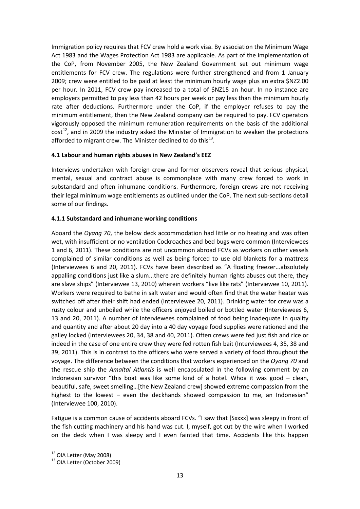Immigration policy requires that FCV crew hold a work visa. By association the Minimum Wage Act 1983 and the Wages Protection Act 1983 are applicable. As part of the implementation of the CoP, from November 2005, the New Zealand Government set out minimum wage entitlements for FCV crew. The regulations were further strengthened and from 1 January 2009; crew were entitled to be paid at least the minimum hourly wage plus an extra \$NZ2.00 per hour. In 2011, FCV crew pay increased to a total of \$NZ15 an hour. In no instance are employers permitted to pay less than 42 hours per week or pay less than the minimum hourly rate after deductions. Furthermore under the CoP, if the employer refuses to pay the minimum entitlement, then the New Zealand company can be required to pay. FCV operators vigorously opposed the minimum remuneration requirements on the basis of the additional  $cost^{12}$  $cost^{12}$  $cost^{12}$ , and in 2009 the industry asked the Minister of Immigration to weaken the protections afforded to migrant crew. The Minister declined to do this $^{13}$  $^{13}$  $^{13}$ .

#### **4.1 Labour and human rights abuses in New Zealand's EEZ**

Interviews undertaken with foreign crew and former observers reveal that serious physical, mental, sexual and contract abuse is commonplace with many crew forced to work in substandard and often inhumane conditions. Furthermore, foreign crews are not receiving their legal minimum wage entitlements as outlined under the CoP. The next sub-sections detail some of our findings.

#### **4.1.1 Substandard and inhumane working conditions**

Aboard the *Oyang 70*, the below deck accommodation had little or no heating and was often wet, with insufficient or no ventilation Cockroaches and bed bugs were common (Interviewees 1 and 6, 2011). These conditions are not uncommon abroad FCVs as workers on other vessels complained of similar conditions as well as being forced to use old blankets for a mattress (Interviewees 6 and 20, 2011). FCVs have been described as "A floating freezer...absolutely appalling conditions just like a slum...there are definitely human rights abuses out there, they are slave ships" (Interviewee 13, 2010) wherein workers "live like rats" (Interviewee 10, 2011). Workers were required to bathe in salt water and would often find that the water heater was switched off after their shift had ended (Interviewee 20, 2011). Drinking water for crew was a rusty colour and unboiled while the officers enjoyed boiled or bottled water (Interviewees 6, 13 and 20, 2011). A number of interviewees complained of food being inadequate in quality and quantity and after about 20 day into a 40 day voyage food supplies were rationed and the galley locked (Interviewees 20, 34, 38 and 40, 2011). Often crews were fed just fish and rice or indeed in the case of one entire crew they were fed rotten fish bait (Interviewees 4, 35, 38 and 39, 2011). This is in contrast to the officers who were served a variety of food throughout the voyage. The difference between the conditions that workers experienced on the *Oyang 70* and the rescue ship the *Amaltal Atlantis* is well encapsulated in the following comment by an Indonesian survivor "this boat was like some kind of a hotel. Whoa it was good – clean, beautiful, safe, sweet smelling…[the New Zealand crew] showed extreme compassion from the highest to the lowest – even the deckhands showed compassion to me, an Indonesian" (Interviewee 100, 2010).

Fatigue is a common cause of accidents aboard FCVs. "I saw that [Sxxxx] was sleepy in front of the fish cutting machinery and his hand was cut. I, myself, got cut by the wire when I worked on the deck when I was sleepy and I even fainted that time. Accidents like this happen

<span id="page-12-1"></span><span id="page-12-0"></span> $12$  OIA Letter (May 2008)<br> $13$  OIA Letter (October 2009)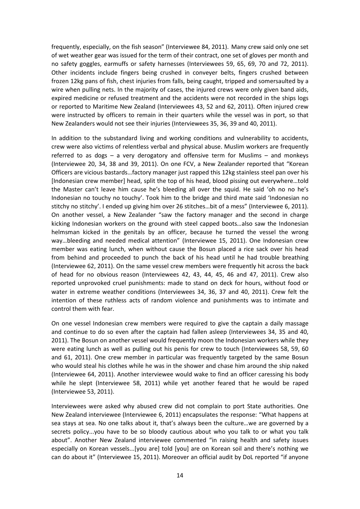frequently, especially, on the fish season" (Interviewee 84, 2011). Many crew said only one set of wet weather gear was issued for the term of their contract, one set of gloves per month and no safety goggles, earmuffs or safety harnesses (Interviewees 59, 65, 69, 70 and 72, 2011). Other incidents include fingers being crushed in conveyer belts, fingers crushed between frozen 12kg pans of fish, chest injuries from falls, being caught, tripped and somersaulted by a wire when pulling nets. In the majority of cases, the injured crews were only given band aids, expired medicine or refused treatment and the accidents were not recorded in the ships logs or reported to Maritime New Zealand (Interviewees 43, 52 and 62, 2011). Often injured crew were instructed by officers to remain in their quarters while the vessel was in port, so that New Zealanders would not see their injuries (Interviewees 35, 36, 39 and 40, 2011).

In addition to the substandard living and working conditions and vulnerability to accidents, crew were also victims of relentless verbal and physical abuse. Muslim workers are frequently referred to as dogs – a very derogatory and offensive term for Muslims – and monkeys (Interviewee 20, 34, 38 and 39, 2011). On one FCV, a New Zealander reported that "Korean Officers are vicious bastards…factory manager just rapped this 12kg stainless steel pan over his [Indonesian crew member] head, split the top of his head, blood pissing out everywhere…told the Master can't leave him cause he's bleeding all over the squid. He said 'oh no no he's Indonesian no touchy no touchy'. Took him to the bridge and third mate said 'Indonesian no stitchy no stitchy'. I ended up giving him over 26 stitches…bit of a mess" (Interviewee 6, 2011). On another vessel, a New Zealander "saw the factory manager and the second in charge kicking Indonesian workers on the ground with steel capped boots*…*also saw the Indonesian helmsman kicked in the genitals by an officer, because he turned the vessel the wrong way…bleeding and needed medical attention" (Interviewee 15, 2011). One Indonesian crew member was eating lunch, when without cause the Bosun placed a rice sack over his head from behind and proceeded to punch the back of his head until he had trouble breathing (Interviewee 62, 2011). On the same vessel crew members were frequently hit across the back of head for no obvious reason (Interviewees 42, 43, 44, 45, 46 and 47, 2011). Crew also reported unprovoked cruel punishments: made to stand on deck for hours, without food or water in extreme weather conditions (Interviewees 34, 36, 37 and 40, 2011). Crew felt the intention of these ruthless acts of random violence and punishments was to intimate and control them with fear.

On one vessel Indonesian crew members were required to give the captain a daily massage and continue to do so even after the captain had fallen asleep (Interviewees 34, 35 and 40, 2011). The Bosun on another vessel would frequently moon the Indonesian workers while they were eating lunch as well as pulling out his penis for crew to touch (Interviewees 58, 59, 60 and 61, 2011). One crew member in particular was frequently targeted by the same Bosun who would steal his clothes while he was in the shower and chase him around the ship naked (Interviewee 64, 2011). Another interviewee would wake to find an officer caressing his body while he slept (Interviewee 58, 2011) while yet another feared that he would be raped (Interviewee 53, 2011).

Interviewees were asked why abused crew did not complain to port State authorities. One New Zealand interviewee (Interviewee 6, 2011) encapsulates the response: "What happens at sea stays at sea. No one talks about it, that's always been the culture…we are governed by a secrets policy...you have to be so bloody cautious about who you talk to or what you talk about". Another New Zealand interviewee commented "in raising health and safety issues especially on Korean vessels...[you are] told [you] are on Korean soil and there's nothing we can do about it" (Interviewee 15, 2011). Moreover an official audit by DoL reported "if anyone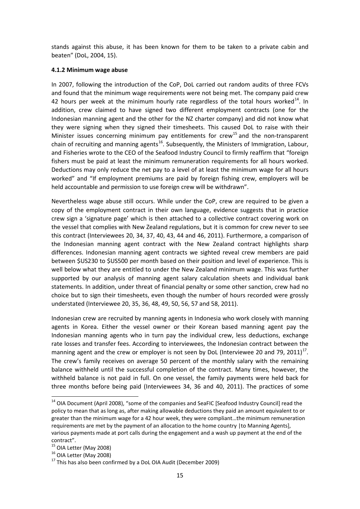stands against this abuse, it has been known for them to be taken to a private cabin and beaten" (DoL, 2004, 15).

#### **4.1.2 Minimum wage abuse**

In 2007, following the introduction of the CoP, DoL carried out random audits of three FCVs and found that the minimum wage requirements were not being met. The company paid crew 42 hours per week at the minimum hourly rate regardless of the total hours worked $^{14}$  $^{14}$  $^{14}$ . In addition, crew claimed to have signed two different employment contracts (one for the Indonesian manning agent and the other for the NZ charter company) and did not know what they were signing when they signed their timesheets. This caused DoL to raise with their Minister issues concerning minimum pay entitlements for crew<sup>[15](#page-14-1)</sup> and the non-transparent chain of recruiting and manning agents<sup>[16](#page-14-2)</sup>. Subsequently, the Ministers of Immigration, Labour, and Fisheries wrote to the CEO of the Seafood Industry Council to firmly reaffirm that "foreign fishers must be paid at least the minimum remuneration requirements for all hours worked. Deductions may only reduce the net pay to a level of at least the minimum wage for all hours worked" and "If employment premiums are paid by foreign fishing crew, employers will be held accountable and permission to use foreign crew will be withdrawn".

Nevertheless wage abuse still occurs. While under the CoP, crew are required to be given a copy of the employment contract in their own language, evidence suggests that in practice crew sign a 'signature page' which is then attached to a collective contract covering work on the vessel that complies with New Zealand regulations, but it is common for crew never to see this contract (Interviewees 20, 34, 37, 40, 43, 44 and 46, 2011). Furthermore, a comparison of the Indonesian manning agent contract with the New Zealand contract highlights sharp differences. Indonesian manning agent contracts we sighted reveal crew members are paid between \$US230 to \$US500 per month based on their position and level of experience. This is well below what they are entitled to under the New Zealand minimum wage. This was further supported by our analysis of manning agent salary calculation sheets and individual bank statements. In addition, under threat of financial penalty or some other sanction, crew had no choice but to sign their timesheets, even though the number of hours recorded were grossly understated (Interviewee 20, 35, 36, 48, 49, 50, 56, 57 and 58, 2011).

Indonesian crew are recruited by manning agents in Indonesia who work closely with manning agents in Korea. Either the vessel owner or their Korean based manning agent pay the Indonesian manning agents who in turn pay the individual crew, less deductions, exchange rate losses and transfer fees. According to interviewees, the Indonesian contract between the manning agent and the crew or employer is not seen by DoL (Interviewee 20 and 79, 2011)<sup>[17](#page-14-3)</sup>. The crew's family receives on average 50 percent of the monthly salary with the remaining balance withheld until the successful completion of the contract. Many times, however, the withheld balance is not paid in full. On one vessel, the family payments were held back for three months before being paid (Interviewees 34, 36 and 40, 2011). The practices of some

<span id="page-14-0"></span><sup>&</sup>lt;sup>14</sup> OIA Document (April 2008), "some of the companies and SeaFIC [Seafood Industry Council] read the policy to mean that as long as, after making allowable deductions they paid an amount equivalent to or greater than the minimum wage for a 42 hour week, they were compliant…the minimum remuneration requirements are met by the payment of an allocation to the home country |to Manning Agents], various payments made at port calls during the engagement and a wash up payment at the end of the

contract".<br><sup>15</sup> OIA Letter (May 2008)

<span id="page-14-3"></span><span id="page-14-2"></span><span id="page-14-1"></span><sup>&</sup>lt;sup>16</sup> OIA Letter (May 2008)<br><sup>17</sup> This has also been confirmed by a DoL OIA Audit (December 2009)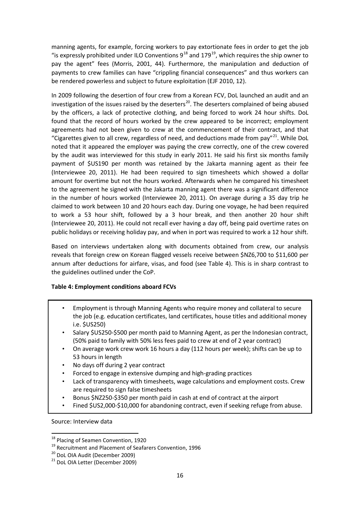manning agents, for example, forcing workers to pay extortionate fees in order to get the job "is expressly prohibited under ILO Conventions  $9^{18}$  $9^{18}$  $9^{18}$  and  $179^{19}$  $179^{19}$  $179^{19}$ , which requires the ship owner to pay the agent" fees (Morris, 2001, 44). Furthermore, the manipulation and deduction of payments to crew families can have "crippling financial consequences" and thus workers can be rendered powerless and subject to future exploitation (EJF 2010, 12).

In 2009 following the desertion of four crew from a Korean FCV, DoL launched an audit and an investigation of the issues raised by the deserters<sup>[20](#page-15-2)</sup>. The deserters complained of being abused by the officers, a lack of protective clothing, and being forced to work 24 hour shifts. DoL found that the record of hours worked by the crew appeared to be incorrect; employment agreements had not been given to crew at the commencement of their contract, and that "Cigarettes given to all crew, regardless of need, and deductions made from pay"<sup>[21](#page-15-3)</sup>. While DoL noted that it appeared the employer was paying the crew correctly, one of the crew covered by the audit was interviewed for this study in early 2011. He said his first six months family payment of \$US190 per month was retained by the Jakarta manning agent as their fee (Interviewee 20, 2011). He had been required to sign timesheets which showed a dollar amount for overtime but not the hours worked. Afterwards when he compared his timesheet to the agreement he signed with the Jakarta manning agent there was a significant difference in the number of hours worked (Interviewee 20, 2011). On average during a 35 day trip he claimed to work between 10 and 20 hours each day. During one voyage, he had been required to work a 53 hour shift, followed by a 3 hour break, and then another 20 hour shift (Interviewee 20, 2011). He could not recall ever having a day off, being paid overtime rates on public holidays or receiving holiday pay, and when in port was required to work a 12 hour shift.

Based on interviews undertaken along with documents obtained from crew, our analysis reveals that foreign crew on Korean flagged vessels receive between \$NZ6,700 to \$11,600 per annum after deductions for airfare, visas, and food (see Table 4). This is in sharp contrast to the guidelines outlined under the CoP.

#### **Table 4: Employment conditions aboard FCVs**

- Employment is through Manning Agents who require money and collateral to secure the job (e.g. education certificates, land certificates, house titles and additional money i.e. \$US250)
- Salary \$US250-\$500 per month paid to Manning Agent, as per the Indonesian contract, (50% paid to family with 50% less fees paid to crew at end of 2 year contract)
- On average work crew work 16 hours a day (112 hours per week); shifts can be up to 53 hours in length
- No days off during 2 year contract
- Forced to engage in extensive dumping and high-grading practices
- Lack of transparency with timesheets, wage calculations and employment costs. Crew are required to sign false timesheets
- Bonus \$NZ250-\$350 per month paid in cash at end of contract at the airport
- Fined \$US2,000-\$10,000 for abandoning contract, even if seeking refuge from abuse.

Source: Interview data

<span id="page-15-1"></span><span id="page-15-0"></span><sup>&</sup>lt;sup>18</sup> Placing of Seamen Convention, 1920<br><sup>19</sup> Recruitment and Placement of Seafarers Convention, 1996<br><sup>20</sup> DoL OIA Audit (December 2009)<br><sup>21</sup> DoL OIA Letter (December 2009)

<span id="page-15-2"></span>

<span id="page-15-3"></span>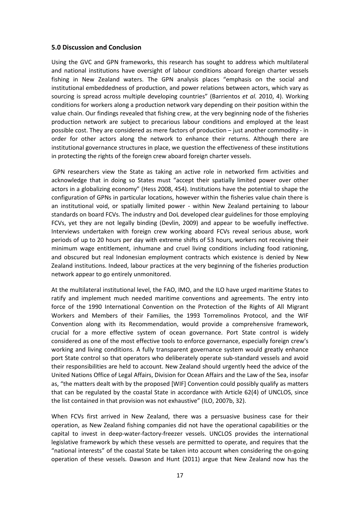#### **5.0 Discussion and Conclusion**

Using the GVC and GPN frameworks, this research has sought to address which multilateral and national institutions have oversight of labour conditions aboard foreign charter vessels fishing in New Zealand waters. The GPN analysis places "emphasis on the social and institutional embeddedness of production, and power relations between actors, which vary as sourcing is spread across multiple developing countries" (Barrientos *et al.* 2010, 4). Working conditions for workers along a production network vary depending on their position within the value chain. Our findings revealed that fishing crew, at the very beginning node of the fisheries production network are subject to precarious labour conditions and employed at the least possible cost. They are considered as mere factors of production – just another commodity - in order for other actors along the network to enhance their returns. Although there are institutional governance structures in place, we question the effectiveness of these institutions in protecting the rights of the foreign crew aboard foreign charter vessels.

GPN researchers view the State as taking an active role in networked firm activities and acknowledge that in doing so States must "accept their spatially limited power over other actors in a globalizing economy" (Hess 2008, 454). Institutions have the potential to shape the configuration of GPNs in particular locations, however within the fisheries value chain there is an institutional void, or spatially limited power - within New Zealand pertaining to labour standards on board FCVs. The industry and DoL developed clear guidelines for those employing FCVs, yet they are not legally binding (Devlin, 2009) and appear to be woefully ineffective. Interviews undertaken with foreign crew working aboard FCVs reveal serious abuse, work periods of up to 20 hours per day with extreme shifts of 53 hours, workers not receiving their minimum wage entitlement, inhumane and cruel living conditions including food rationing, and obscured but real Indonesian employment contracts which existence is denied by New Zealand institutions. Indeed, labour practices at the very beginning of the fisheries production network appear to go entirely unmonitored.

At the multilateral institutional level, the FAO, IMO, and the ILO have urged maritime States to ratify and implement much needed maritime conventions and agreements. The entry into force of the 1990 International Convention on the Protection of the Rights of All Migrant Workers and Members of their Families, the 1993 Torremolinos Protocol, and the WIF Convention along with its Recommendation, would provide a comprehensive framework, crucial for a more effective system of ocean governance. Port State control is widely considered as one of the most effective tools to enforce governance, especially foreign crew's working and living conditions. A fully transparent governance system would greatly enhance port State control so that operators who deliberately operate sub-standard vessels and avoid their responsibilities are held to account. New Zealand should urgently heed the advice of the United Nations Office of Legal Affairs, Division for Ocean Affairs and the Law of the Sea, insofar as, "the matters dealt with by the proposed [WIF] Convention could possibly qualify as matters that can be regulated by the coastal State in accordance with Article 62(4) of UNCLOS, since the list contained in that provision was not exhaustive" (ILO, 2007b, 32).

When FCVs first arrived in New Zealand, there was a persuasive business case for their operation, as New Zealand fishing companies did not have the operational capabilities or the capital to invest in deep-water-factory-freezer vessels. UNCLOS provides the international legislative framework by which these vessels are permitted to operate, and requires that the "national interests" of the coastal State be taken into account when considering the on-going operation of these vessels. Dawson and Hunt (2011) argue that New Zealand now has the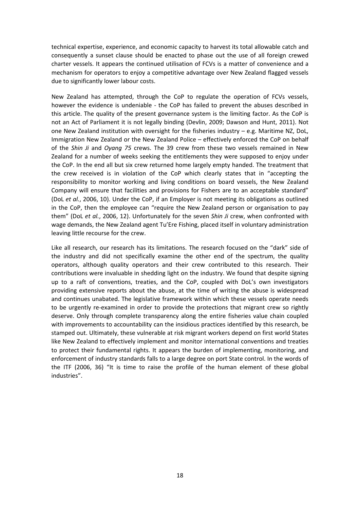technical expertise, experience, and economic capacity to harvest its total allowable catch and consequently a sunset clause should be enacted to phase out the use of all foreign crewed charter vessels. It appears the continued utilisation of FCVs is a matter of convenience and a mechanism for operators to enjoy a competitive advantage over New Zealand flagged vessels due to significantly lower labour costs.

New Zealand has attempted, through the CoP to regulate the operation of FCVs vessels, however the evidence is undeniable - the CoP has failed to prevent the abuses described in this article. The quality of the present governance system is the limiting factor. As the CoP is not an Act of Parliament it is not legally binding (Devlin, 2009; Dawson and Hunt, 2011). Not one New Zealand institution with oversight for the fisheries industry  $-$  e.g. Maritime NZ, DoL, Immigration New Zealand or the New Zealand Police – effectively enforced the CoP on behalf of the *Shin Ji* and *Oyang 75* crews. The 39 crew from these two vessels remained in New Zealand for a number of weeks seeking the entitlements they were supposed to enjoy under the CoP. In the end all but six crew returned home largely empty handed. The treatment that the crew received is in violation of the CoP which clearly states that in "accepting the responsibility to monitor working and living conditions on board vessels, the New Zealand Company will ensure that facilities and provisions for Fishers are to an acceptable standard" (DoL *et al.*, 2006, 10). Under the CoP, if an Employer is not meeting its obligations as outlined in the CoP, then the employee can "require the New Zealand person or organisation to pay them" (DoL *et al.*, 2006, 12). Unfortunately for the seven *Shin Ji* crew, when confronted with wage demands, the New Zealand agent Tu'Ere Fishing, placed itself in voluntary administration leaving little recourse for the crew.

Like all research, our research has its limitations. The research focused on the "dark" side of the industry and did not specifically examine the other end of the spectrum, the quality operators, although quality operators and their crew contributed to this research. Their contributions were invaluable in shedding light on the industry. We found that despite signing up to a raft of conventions, treaties, and the CoP, coupled with DoL's own investigators providing extensive reports about the abuse, at the time of writing the abuse is widespread and continues unabated. The legislative framework within which these vessels operate needs to be urgently re-examined in order to provide the protections that migrant crew so rightly deserve. Only through complete transparency along the entire fisheries value chain coupled with improvements to accountability can the insidious practices identified by this research, be stamped out. Ultimately, these vulnerable at risk migrant workers depend on first world States like New Zealand to effectively implement and monitor international conventions and treaties to protect their fundamental rights. It appears the burden of implementing, monitoring, and enforcement of industry standards falls to a large degree on port State control. In the words of the ITF (2006, 36) "It is time to raise the profile of the human element of these global industries".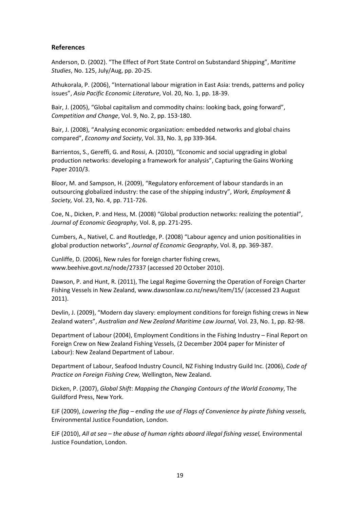#### **References**

Anderson, D. (2002). "The Effect of Port State Control on Substandard Shipping", *Maritime Studies*, No. 125, July/Aug, pp. 20-25.

Athukorala, P. (2006), "International labour migration in East Asia: trends, patterns and policy issues", *Asia Pacific Economic Literature*, Vol. 20, No. 1, pp. 18-39.

Bair, J. (2005), "Global capitalism and commodity chains: looking back, going forward", *Competition and Change*, Vol. 9, No. 2, pp. 153-180.

Bair, J. (2008), "Analysing economic organization: embedded networks and global chains compared", *Economy and Society*, Vol. 33, No. 3, pp 339-364.

Barrientos, S., Gereffi, G. and Rossi, A. (2010), "Economic and social upgrading in global production networks: developing a framework for analysis", Capturing the Gains Working Paper 2010/3.

Bloor, M. and Sampson, H. (2009), "Regulatory enforcement of labour standards in an outsourcing globalized industry: the case of the shipping industry", *Work, Employment & Society,* Vol. 23, No. 4, pp. 711-726.

Coe, N., Dicken, P. and Hess, M. (2008) "Global production networks: realizing the potential", *Journal of Economic Geography*, Vol. 8, pp. 271-295.

Cumbers, A., Nativel, C. and Routledge, P. (2008) "Labour agency and union positionalities in global production networks", *Journal of Economic Geography*, Vol. 8, pp. 369-387.

Cunliffe, D. (2006), New rules for foreign charter fishing crews, [www.beehive.govt.nz/node/27337](http://www.beehive.govt.nz/node/27337) (accessed 20 October 2010).

Dawson, P. and Hunt, R. (2011), The Legal Regime Governing the Operation of Foreign Charter Fishing Vessels in New Zealand, www.dawsonlaw.co.nz/news/item/15/ (accessed 23 August 2011).

Devlin, J. (2009), "Modern day slavery: employment conditions for foreign fishing crews in New Zealand waters", *Australian and New Zealand Maritime Law Journal*, Vol. 23, No. 1, pp. 82-98.

Department of Labour (2004), Employment Conditions in the Fishing Industry – Final Report on Foreign Crew on New Zealand Fishing Vessels, (2 December 2004 paper for Minister of Labour): New Zealand Department of Labour.

Department of Labour, Seafood Industry Council, NZ Fishing Industry Guild Inc. (2006), *Code of Practice on Foreign Fishing Crew,* Wellington, New Zealand.

Dicken, P. (2007), *Global Shift*: *Mapping the Changing Contours of the World Economy*, The Guildford Press, New York.

EJF (2009), *Lowering the flag – ending the use of Flags of Convenience by pirate fishing vessels,* Environmental Justice Foundation, London.

EJF (2010), *All at sea – the abuse of human rights aboard illegal fishing vessel,* Environmental Justice Foundation, London.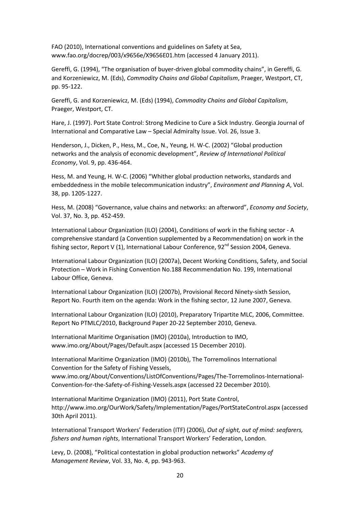FAO (2010), International conventions and guidelines on Safety at Sea, [www.fao.org/docrep/003/x9656e/X9656E01.htm](http://www.fao.org/docrep/003/x9656e/X9656E01.htm) (accessed 4 January 2011).

Gereffi, G. (1994), "The organisation of buyer-driven global commodity chains", in Gereffi, G. and Korzeniewicz, M. (Eds), *Commodity Chains and Global Capitalism*, Praeger, Westport, CT, pp. 95-122.

Gereffi, G. and Korzeniewicz, M. (Eds) (1994), *Commodity Chains and Global Capitalism*, Praeger, Westport, CT.

Hare, J. (1997). Port State Control: Strong Medicine to Cure a Sick Industry. Georgia Journal of International and Comparative Law – Special Admiralty Issue. Vol. 26, Issue 3.

Henderson, J., Dicken, P., Hess, M., Coe, N., Yeung, H. W-C. (2002) "Global production networks and the analysis of economic development", *Review of International Political Economy*, Vol. 9, pp. 436-464.

Hess, M. and Yeung, H. W-C. (2006) "Whither global production networks, standards and embeddedness in the mobile telecommunication industry", *Environment and Planning A*, Vol. 38, pp. 1205-1227.

Hess, M. (2008) "Governance, value chains and networks: an afterword", *Economy and Society*, Vol. 37, No. 3, pp. 452-459.

International Labour Organization (ILO) (2004), Conditions of work in the fishing sector - A comprehensive standard (a Convention supplemented by a Recommendation) on work in the fishing sector, Report V (1), International Labour Conference,  $92^{nd}$  Session 2004, Geneva.

International Labour Organization (ILO) (2007a), Decent Working Conditions, Safety, and Social Protection – Work in Fishing Convention No.188 Recommendation No. 199, International Labour Office, Geneva.

International Labour Organization (ILO) (2007b), Provisional Record Ninety-sixth Session, Report No. Fourth item on the agenda: Work in the fishing sector, 12 June 2007, Geneva.

International Labour Organization (ILO) (2010), Preparatory Tripartite MLC, 2006, Committee. Report No PTMLC/2010, Background Paper 20-22 September 2010, Geneva.

International Maritime Organisation (IMO) (2010a), Introduction to IMO, [www.imo.org/About/Pages/Default.aspx \(accessed 15](http://www.imo.org/About/Pages/Default.aspx%20(accessed%2015) December 2010).

International Maritime Organization (IMO) (2010b), The Torremolinos International Convention for the Safety of Fishing Vessels, [www.imo.org/About/Conventions/ListOfConventions/Pages/The-Torremolinos-International-](http://www.imo.org/About/Conventions/ListOfConventions/Pages/The-Torremolinos-International-Convention-for-the-Safety-of-Fishing-Vessels.aspx)[Convention-for-the-Safety-of-Fishing-Vessels.aspx](http://www.imo.org/About/Conventions/ListOfConventions/Pages/The-Torremolinos-International-Convention-for-the-Safety-of-Fishing-Vessels.aspx) (accessed 22 December 2010).

International Maritime Organization (IMO) (2011), Port State Control, <http://www.imo.org/OurWork/Safety/Implementation/Pages/PortStateControl.aspx> (accessed 30th April 2011).

International Transport Workers' Federation (ITF) (2006), *Out of sight, out of mind: seafarers, fishers and human rights*, International Transport Workers' Federation, London.

Levy, D. (2008), "Political contestation in global production networks" *Academy of Management Review*, Vol. 33, No. 4, pp. 943-963.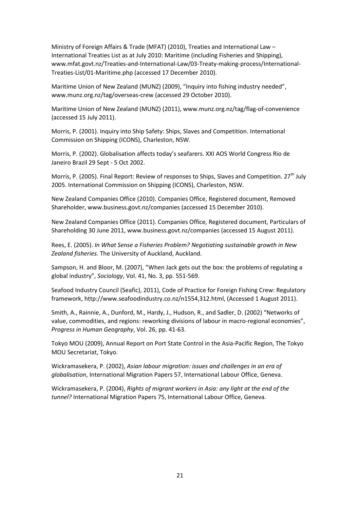Ministry of Foreign Affairs & Trade (MFAT) (2010), Treaties and International Law – International Treaties List as at July 2010: Maritime (including Fisheries and Shipping), [www.mfat.govt.nz/Treaties-and-International-Law/03-Treaty-making-process/International-](http://www.mfat.govt.nz/Treaties-and-International-Law/03-Treaty-making-process/International-Treaties-List/01-Maritime.php)[Treaties-List/01-Maritime.php](http://www.mfat.govt.nz/Treaties-and-International-Law/03-Treaty-making-process/International-Treaties-List/01-Maritime.php) (accessed 17 December 2010).

Maritime Union of New Zealand (MUNZ) (2009), "Inquiry into fishing industry needed", [www.munz.org.nz/tag/overseas-crew](http://www.munz.org.nz/tag/overseas-crew) (accessed 29 October 2010).

Maritime Union of New Zealand (MUNZ) (2011), [www.munz.org.nz/tag/flag-of-convenience](http://www.munz.org.nz/tag/flag-of-convenience) (accessed 15 July 2011).

Morris, P. (2001). Inquiry into Ship Safety: Ships, Slaves and Competition. International Commission on Shipping (ICONS), Charleston, NSW.

Morris, P. (2002). Globalisation affects today's seafarers. XXI AOS World Congress Rio de Janeiro Brazil 29 Sept - 5 Oct 2002.

Morris, P. (2005). Final Report: Review of responses to Ships, Slaves and Competition.  $27<sup>th</sup>$  July 2005. International Commission on Shipping (ICONS), Charleston, NSW.

New Zealand Companies Office (2010). Companies Office, Registered document, Removed Shareholder, [www.business.govt.nz/companies](http://www.business.govt.nz/companies) (accessed 15 December 2010).

New Zealand Companies Office (2011). Companies Office, Registered document, Particulars of Shareholding 30 June 2011[, www.business.govt.nz/companies](http://www.business.govt.nz/companies) (accessed 15 August 2011).

Rees, E. (2005). *In What Sense a Fisheries Problem? Negotiating sustainable growth in New Zealand fisheries.* The University of Auckland, Auckland.

Sampson, H. and Bloor, M. (2007), "When Jack gets out the box: the problems of regulating a global industry", *Sociology*, Vol. 41, No. 3, pp. 551-569.

Seafood Industry Council (Seafic), 2011), Code of Practice for Foreign Fishing Crew: Regulatory framework[, http://www.seafoodindustry.co.nz/n1554,312.html,](http://www.seafoodindustry.co.nz/n1554,312.html) (Accessed 1 August 2011).

Smith, A., Rainnie, A., Dunford, M., Hardy, J., Hudson, R., and Sadler, D. (2002) "Networks of value, commodities, and regions: reworking divisions of labour in macro-regional economies", *Progress in Human Geography*, Vol. 26, pp. 41-63.

Tokyo MOU (2009), Annual Report on Port State Control in the Asia-Pacific Region, The Tokyo MOU Secretariat, Tokyo.

Wickramasekera, P. (2002), *Asian labour migration: issues and challenges in an era of globalisation*, International Migration Papers 57, International Labour Office, Geneva.

Wickramasekera, P. (2004), *Rights of migrant workers in Asia: any light at the end of the tunnel?* International Migration Papers 75, International Labour Office, Geneva.